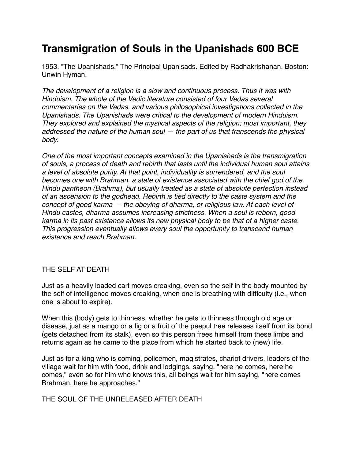# **Transmigration of Souls in the Upanishads 600 BCE**

1953. "The Upanishads." The Principal Upanisads. Edited by Radhakrishanan. Boston: Unwin Hyman.

*The development of a religion is a slow and continuous process. Thus it was with Hinduism. The whole of the Vedic literature consisted of four Vedas several commentaries on the Vedas, and various philosophical investigations collected in the Upanishads. The Upanishads were critical to the development of modern Hinduism. They explored and explained the mystical aspects of the religion; most important, they addressed the nature of the human soul — the part of us that transcends the physical body.*

*One of the most important concepts examined in the Upanishads is the transmigration of souls, a process of death and rebirth that lasts until the individual human soul attains a level of absolute purity. At that point, individuality is surrendered, and the soul becomes one with Brahman, a state of existence associated with the chief god of the Hindu pantheon (Brahma), but usually treated as a state of absolute perfection instead of an ascension to the godhead. Rebirth is tied directly to the caste system and the concept of good karma — the obeying of dharma, or religious law. At each level of Hindu castes, dharma assumes increasing strictness. When a soul is reborn, good karma in its past existence allows its new physical body to be that of a higher caste. This progression eventually allows every soul the opportunity to transcend human existence and reach Brahman.*

## THE SELF AT DEATH

Just as a heavily loaded cart moves creaking, even so the self in the body mounted by the self of intelligence moves creaking, when one is breathing with difficulty (i.e., when one is about to expire).

When this (body) gets to thinness, whether he gets to thinness through old age or disease, just as a mango or a fig or a fruit of the peepul tree releases itself from its bond (gets detached from its stalk), even so this person frees himself from these limbs and returns again as he came to the place from which he started back to (new) life.

Just as for a king who is coming, policemen, magistrates, chariot drivers, leaders of the village wait for him with food, drink and lodgings, saying, "here he comes, here he comes," even so for him who knows this, all beings wait for him saying, "here comes Brahman, here he approaches."

## THE SOUL OF THE UNRELEASED AFTER DEATH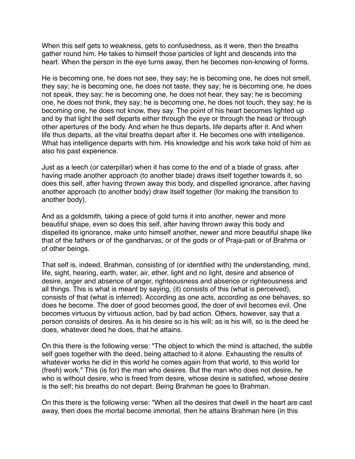When this self gets to weakness, gets to confusedness, as it were, then the breaths gather round him. He takes to himself those particles of light and descends into the heart. When the person in the eye turns away, then he becomes non-knowing of forms.

He is becoming one, he does not see, they say; he is becoming one, he does not smell, they say; he is becoming one, he does not taste, they say; he is becoming one, he does not speak, they say; he is becoming one, he does not hear, they say; he is becoming one, he does not think, they say; he is becoming one, he does not touch, they say; he is becoming one, he does not know, they say. The point of his heart becomes lighted up and by that light the self departs either through the eye or through the head or through other apertures of the body. And when he thus departs, life departs after it. And when life thus departs, all the vital breaths depart after it. He becomes one with intelligence. What has intelligence departs with him. His knowledge and his work take hold of him as also his past experience.

Just as a leech (or caterpillar) when it has come to the end of a blade of grass, after having made another approach (to another blade) draws itself together towards it, so does this self, after having thrown away this body, and dispelled ignorance, after having another approach (to another body) draw itself together (for making the transition to another body).

And as a goldsmith, taking a piece of gold turns it into another, newer and more beautiful shape, even so does this self, after having thrown away this body and dispelled its ignorance, make unto himself another, newer and more beautiful shape like that of the fathers or of the gandharvas, or of the gods or of Praja-pati or of Brahma or of other beings.

That self is, indeed, Brahman, consisting of (or identified with) the understanding, mind, life, sight, hearing, earth, water, air, ether, light and no light, desire and absence of desire, anger and absence of anger, righteousness and absence or righteousness and all things. This is what is meant by saying, (it) consists of this (what is perceived), consists of that (what is inferred). According as one acts, according as one behaves, so does he become. The doer of good becomes good, the doer of evil becomes evil. One becomes virtuous by virtuous action, bad by bad action. Others, however, say that a person consists of desires. As is his desire so is his will; as is his will, so is the deed he does, whatever deed he does, that he attains.

On this there is the following verse: "The object to which the mind is attached, the subtle self goes together with the deed, being attached to it alone. Exhausting the results of whatever works he did in this world he comes again from that world, to this world for (fresh) work." This (is for) the man who desires. But the man who does not desire, he who is without desire, who is freed from desire, whose desire is satisfied, whose desire is the self; his breaths do not depart. Being Brahman he goes to Brahman.

On this there is the following verse: "When all the desires that dwell in the heart are cast away, then does the mortal become immortal, then he attains Brahman here (in this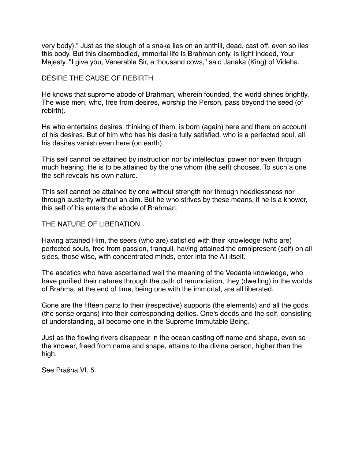very body)." Just as the slough of a snake lies on an anthill, dead, cast off, even so lies this body. But this disembodied, immortal life is Brahman only, is light indeed, Your Majesty. "I give you, Venerable Sir, a thousand cows," said Janaka (King) of Videha.

#### DESIRE THE CAUSE OF REBIRTH

He knows that supreme abode of Brahman, wherein founded, the world shines brightly. The wise men, who, free from desires, worship the Person, pass beyond the seed (of rebirth).

He who entertains desires, thinking of them, is born (again) here and there on account of his desires. But of him who has his desire fully satisfied, who is a perfected soul, all his desires vanish even here (on earth).

This self cannot be attained by instruction nor by intellectual power nor even through much hearing. He is to be attained by the one whom (the self) chooses. To such a one the self reveals his own nature.

This self cannot be attained by one without strength nor through heedlessness nor through austerity without an aim. But he who strives by these means, if he is a knower, this self of his enters the abode of Brahman.

#### THE NATURE OF LIBERATION

Having attained Him, the seers (who are) satisfied with their knowledge (who are) perfected souls, free from passion, tranquil, having attained the omnipresent (self) on all sides, those wise, with concentrated minds, enter into the All itself.

The ascetics who have ascertained well the meaning of the Vedanta knowledge, who have purified their natures through the path of renunciation, they (dwelling) in the worlds of Brahma, at the end of time, being one with the immortal, are all liberated.

Gone are the fifteen parts to their (respective) supports (the elements) and all the gods (the sense organs) into their corresponding deities. One's deeds and the self, consisting of understanding, all become one in the Supreme Immutable Being.

Just as the flowing rivers disappear in the ocean casting off name and shape, even so the knower, freed from name and shape, attains to the divine person, higher than the high.

See Praśna VI. 5.